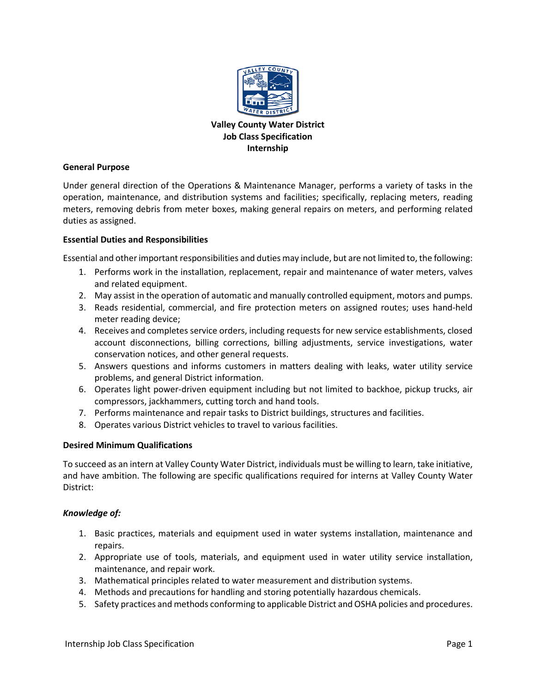

# **Valley County Water District Job Class Specification Internship**

### **General Purpose**

Under general direction of the Operations & Maintenance Manager, performs a variety of tasks in the operation, maintenance, and distribution systems and facilities; specifically, replacing meters, reading meters, removing debris from meter boxes, making general repairs on meters, and performing related duties as assigned.

### **Essential Duties and Responsibilities**

Essential and other important responsibilities and duties may include, but are not limited to, the following:

- 1. Performs work in the installation, replacement, repair and maintenance of water meters, valves and related equipment.
- 2. May assist in the operation of automatic and manually controlled equipment, motors and pumps.
- 3. Reads residential, commercial, and fire protection meters on assigned routes; uses hand-held meter reading device;
- 4. Receives and completes service orders, including requests for new service establishments, closed account disconnections, billing corrections, billing adjustments, service investigations, water conservation notices, and other general requests.
- 5. Answers questions and informs customers in matters dealing with leaks, water utility service problems, and general District information.
- 6. Operates light power-driven equipment including but not limited to backhoe, pickup trucks, air compressors, jackhammers, cutting torch and hand tools.
- 7. Performs maintenance and repair tasks to District buildings, structures and facilities.
- 8. Operates various District vehicles to travel to various facilities.

## **Desired Minimum Qualifications**

To succeed as an intern at Valley County Water District, individuals must be willing to learn, take initiative, and have ambition. The following are specific qualifications required for interns at Valley County Water District:

## *Knowledge of:*

- 1. Basic practices, materials and equipment used in water systems installation, maintenance and repairs.
- 2. Appropriate use of tools, materials, and equipment used in water utility service installation, maintenance, and repair work.
- 3. Mathematical principles related to water measurement and distribution systems.
- 4. Methods and precautions for handling and storing potentially hazardous chemicals.
- 5. Safety practices and methods conforming to applicable District and OSHA policies and procedures.